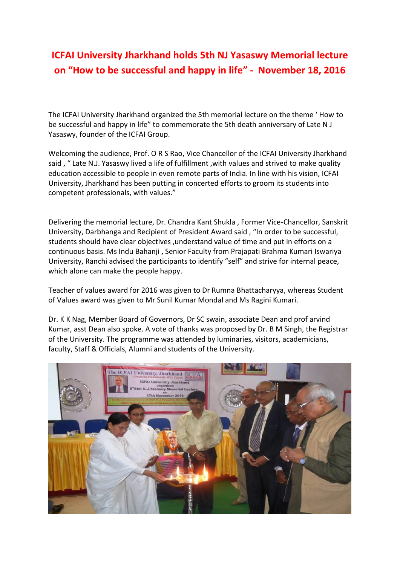## **ICFAI University Jharkhand holds 5th NJ Yasaswy Memorial lecture on "How to be successful and happy in life" - November 18, 2016**

The ICFAI University Jharkhand organized the 5th memorial lecture on the theme ' How to be successful and happy in life" to commemorate the 5th death anniversary of Late N J Yasaswy, founder of the ICFAI Group.

Welcoming the audience, Prof. O R S Rao, Vice Chancellor of the ICFAI University Jharkhand said , " Late N.J. Yasaswy lived a life of fulfillment ,with values and strived to make quality education accessible to people in even remote parts of India. In line with his vision, ICFAI University, Jharkhand has been putting in concerted efforts to groom its students into competent professionals, with values."

Delivering the memorial lecture, Dr. Chandra Kant Shukla , Former Vice-Chancellor, Sanskrit University, Darbhanga and Recipient of President Award said , "In order to be successful, students should have clear objectives ,understand value of time and put in efforts on a continuous basis. Ms Indu Bahanji , Senior Faculty from Prajapati Brahma Kumari Iswariya University, Ranchi advised the participants to identify "self" and strive for internal peace, which alone can make the people happy.

Teacher of values award for 2016 was given to Dr Rumna Bhattacharyya, whereas Student of Values award was given to Mr Sunil Kumar Mondal and Ms Ragini Kumari.

Dr. K K Nag, Member Board of Governors, Dr SC swain, associate Dean and prof arvind Kumar, asst Dean also spoke. A vote of thanks was proposed by Dr. B M Singh, the Registrar of the University. The programme was attended by luminaries, visitors, academicians, faculty, Staff & Officials, Alumni and students of the University.

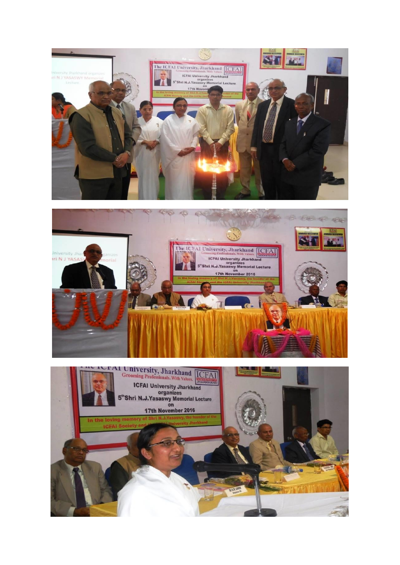



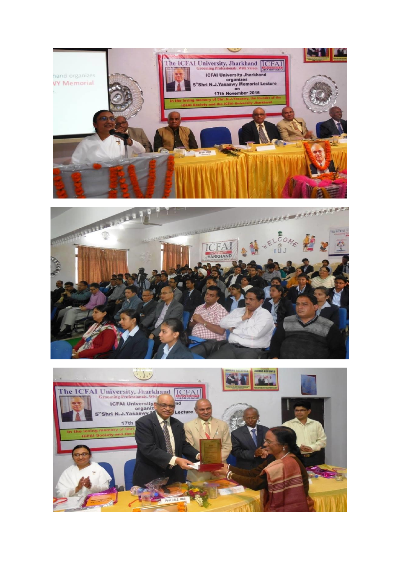